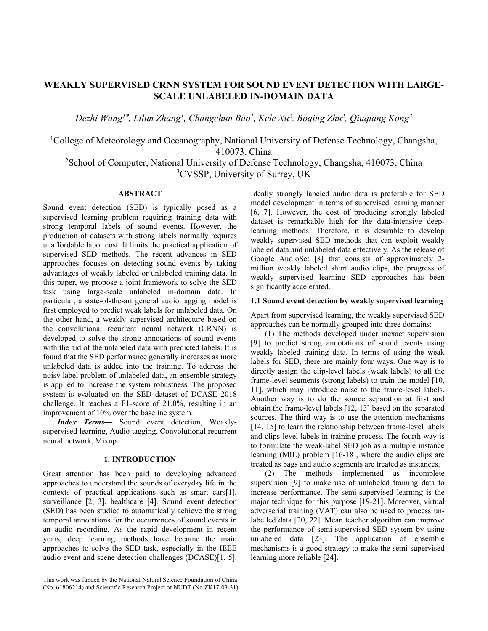# **WEAKLY SUPERVISED CRNN SYSTEM FOR SOUND EVENT DETECTION WITH LARGE-SCALE UNLABELED IN-DOMAIN DATA**

*Dezhi Wang1\*, Lilun Zhang<sup>1</sup> , Changchun Bao<sup>1</sup> , Kele Xu<sup>2</sup> , Boqing Zhu<sup>2</sup> , Qiuqiang Kong<sup>3</sup>*

<sup>1</sup>College of Meteorology and Oceanography, National University of Defense Technology, Changsha, 410073, China

<sup>2</sup>School of Computer, National University of Defense Technology, Changsha, 410073, China <sup>3</sup>CVSSP, University of Surrey, UK

# **ABSTRACT**

Sound event detection (SED) is typically posed as a supervised learning problem requiring training data with strong temporal labels of sound events. However, the production of datasets with strong labels normally requires unaffordable labor cost. It limits the practical application of supervised SED methods. The recent advances in SED approaches focuses on detecting sound events by taking advantages of weakly labeled or unlabeled training data. In this paper, we propose a joint framework to solve the SED task using large-scale unlabeled in-domain data. In particular, a state-of-the-art general audio tagging model is first employed to predict weak labels for unlabeled data. On the other hand, a weakly supervised architecture based on the convolutional recurrent neural network (CRNN) is developed to solve the strong annotations of sound events with the aid of the unlabeled data with predicted labels. It is found that the SED performance generally increases as more unlabeled data is added into the training. To address the noisy label problem of unlabeled data, an ensemble strategy is applied to increase the system robustness. The proposed system is evaluated on the SED dataset of DCASE 2018 challenge. It reaches a F1-score of 21.0%, resulting in an improvement of 10% over the baseline system.

*Index Terms—* Sound event detection, Weaklysupervised learning, Audio tagging, Convolutional recurrent neural network, Mixup

### **1. INTRODUCTION**

Great attention has been paid to developing advanced approaches to understand the sounds of everyday life in the contexts of practical applications such as smart cars[\[1\]](#page-4-0), surveillance [\[2,](#page-4-1) [3\]](#page-4-2), healthcare [\[4\]](#page-4-3). Sound event detection (SED) has been studied to automatically achieve the strong temporal annotations for the occurrences of sound events in an audio recording. As the rapid development in recent years, deep learning methods have become the main approaches to solve the SED task, especially in the IEEE audio event and scene detection challenges (DCASE)[\[1,](#page-4-0) [5\]](#page-4-4).

Ideally strongly labeled audio data is preferable for SED model development in terms of supervised learning manner [\[6,](#page-4-5) [7\]](#page-4-6). However, the cost of producing strongly labeled dataset is remarkably high for the data-intensive deeplearning methods. Therefore, it is desirable to develop weakly supervised SED methods that can exploit weakly labeled data and unlabeled data effectively. As the release of Google AudioSet [\[8\]](#page-4-7) that consists of approximately 2 million weakly labeled short audio clips, the progress of weakly supervised learning SED approaches has been significantly accelerated.

#### **1.1 Sound event detection by weakly supervised learning**

Apart from supervised learning, the weakly supervised SED approaches can be normally grouped into three domains:

(1) The methods developed under inexact supervision [\[9\]](#page-4-8) to predict strong annotations of sound events using weakly labeled training data. In terms of using the weak labels for SED, there are mainly four ways. One way is to directly assign the clip-level labels (weak labels) to all the frame-level segments (strong labels) to train the model [\[10,](#page-4-9) [11\]](#page-4-10), which may introduce noise to the frame-level labels. Another way is to do the source separation at first and obtain the frame-level labels [\[12,](#page-4-11) [13\]](#page-4-12) based on the separated sources. The third way is to use the attention mechanisms [\[14,](#page-4-13) [15\]](#page-4-14) to learn the relationship between frame-level labels and clips-level labels in training process. The fourth way is to formulate the weak-label SED job as a multiple instance learning (MIL) problem [\[16-18\]](#page-4-15), where the audio clips are treated as bags and audio segments are treated as instances.

(2) The methods implemented as incomplete supervision [\[9\]](#page-4-8) to make use of unlabeled training data to increase performance. The semi-supervised learning is the major technique for this purpose [\[19-21\]](#page-4-16). Moreover, virtual adverserial training (VAT) can also be used to process unlabelled data [\[20,](#page-4-17) [22\]](#page-4-18). Mean teacher algorithm can improve the performance of semi-supervised SED system by using unlabeled data [\[23\]](#page-4-19). The application of ensemble mechanisms is a good strategy to make the semi-supervised learning more reliable [\[24\]](#page-4-20).

This work was funded by the National Natural Science Foundation of China (No. 61806214) and Scientific Research Project of NUDT (No.ZK17-03-31).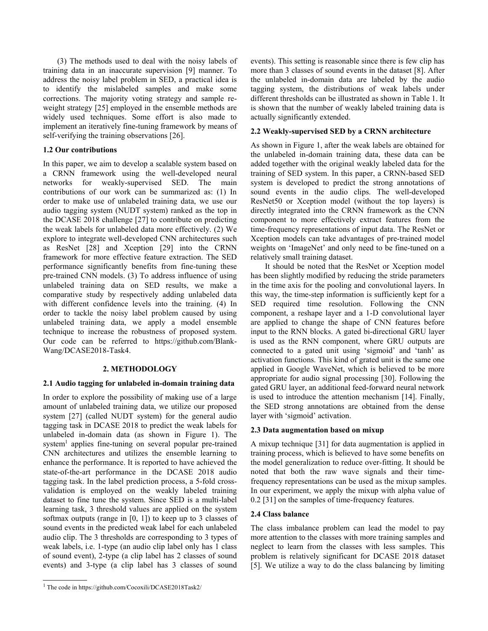(3) The methods used to deal with the noisy labels of training data in an inaccurate supervision [\[9\]](#page-4-8) manner. To address the noisy label problem in SED, a practical idea is to identify the mislabeled samples and make some corrections. The majority voting strategy and sample reweight strategy [\[25\]](#page-4-21) employed in the ensemble methods are widely used techniques. Some effort is also made to implement an iteratively fine-tuning framework by means of self-verifying the training observations [\[26\]](#page-4-22).

# **1.2 Our contributions**

In this paper, we aim to develop a scalable system based on a CRNN framework using the well-developed neural networks for weakly-supervised SED. The main contributions of our work can be summarized as: (1) In order to make use of unlabeled training data, we use our audio tagging system (NUDT system) ranked as the top in the DCASE 2018 challenge [\[27\]](#page-4-23) to contribute on predicting the weak labels for unlabeled data more effectively. (2) We explore to integrate well-developed CNN architectures such as ResNet [\[28\]](#page-4-24) and Xception [\[29\]](#page-4-25) into the CRNN framework for more effective feature extraction. The SED performance significantly benefits from fine-tuning these pre-trained CNN models. (3) To address influence of using unlabeled training data on SED results, we make a comparative study by respectively adding unlabeled data with different confidence levels into the training. (4) In order to tackle the noisy label problem caused by using unlabeled training data, we apply a model ensemble technique to increase the robustness of proposed system. Our code can be referred to https://github.com/Blank-Wang/DCASE2018-Task4.

# **2. METHODOLOGY**

### **2.1 Audio tagging for unlabeled in-domain training data**

In order to explore the possibility of making use of a large amount of unlabeled training data, we utilize our proposed system [\[27\]](#page-4-23) (called NUDT system) for the general audio tagging task in DCASE 2018 to predict the weak labels for unlabeled in-domain data (as shown in Figure 1). The system<sup>1</sup> applies fine-tuning on several popular pre-trained CNN architectures and utilizes the ensemble learning to enhance the performance. It is reported to have achieved the state-of-the-art performance in the DCASE 2018 audio tagging task. In the label prediction process, a 5-fold crossvalidation is employed on the weakly labeled training dataset to fine tune the system. Since SED is a multi-label learning task, 3 threshold values are applied on the system softmax outputs (range in [0, 1]) to keep up to 3 classes of sound events in the predicted weak label for each unlabeled audio clip. The 3 thresholds are corresponding to 3 types of weak labels, i.e. 1-type (an audio clip label only has 1 class of sound event), 2-type (a clip label has 2 classes of sound events) and 3-type (a clip label has 3 classes of sound

events). This setting is reasonable since there is few clip has more than 3 classes of sound events in the dataset [\[8\]](#page-4-7). After the unlabeled in-domain data are labeled by the audio tagging system, the distributions of weak labels under different thresholds can be illustrated as shown in Table 1. It is shown that the number of weakly labeled training data is actually significantly extended.

### **2.2 Weakly-supervised SED by a CRNN architecture**

As shown in Figure 1, after the weak labels are obtained for the unlabeled in-domain training data, these data can be added together with the original weakly labeled data for the training of SED system. In this paper, a CRNN-based SED system is developed to predict the strong annotations of sound events in the audio clips. The well-developed ResNet50 or Xception model (without the top layers) is directly integrated into the CRNN framework as the CNN component to more effectively extract features from the time-frequency representations of input data. The ResNet or Xception models can take advantages of pre-trained model weights on 'ImageNet' and only need to be fine-tuned on a relatively small training dataset.

It should be noted that the ResNet or Xception model has been slightly modified by reducing the stride parameters in the time axis for the pooling and convolutional layers. In this way, the time-step information is sufficiently kept for a SED required time resolution. Following the CNN component, a reshape layer and a 1-D convolutional layer are applied to change the shape of CNN features before input to the RNN blocks. A gated bi-directional GRU layer is used as the RNN component, where GRU outputs are connected to a gated unit using 'sigmoid' and 'tanh' as activation functions. This kind of grated unit is the same one applied in Google WaveNet, which is believed to be more appropriate for audio signal processing [\[30\]](#page-4-26). Following the gated GRU layer, an additional feed-forward neural network is used to introduce the attention mechanism [\[14\]](#page-4-13). Finally, the SED strong annotations are obtained from the dense layer with 'sigmoid' activation.

### **2.3 Data augmentation based on mixup**

A mixup technique [\[31\]](#page-4-27) for data augmentation is applied in training process, which is believed to have some benefits on the model generalization to reduce over-fitting. It should be noted that both the raw wave signals and their timefrequency representations can be used as the mixup samples. In our experiment, we apply the mixup with alpha value of 0.2 [\[31\]](#page-4-27) on the samples of time-frequency features.

### **2.4 Class balance**

The class imbalance problem can lead the model to pay more attention to the classes with more training samples and neglect to learn from the classes with less samples. This problem is relatively significant for DCASE 2018 dataset [\[5\]](#page-4-4). We utilize a way to do the class balancing by limiting

<sup>1</sup> The code in https://github.com/Cocoxili/DCASE2018Task2/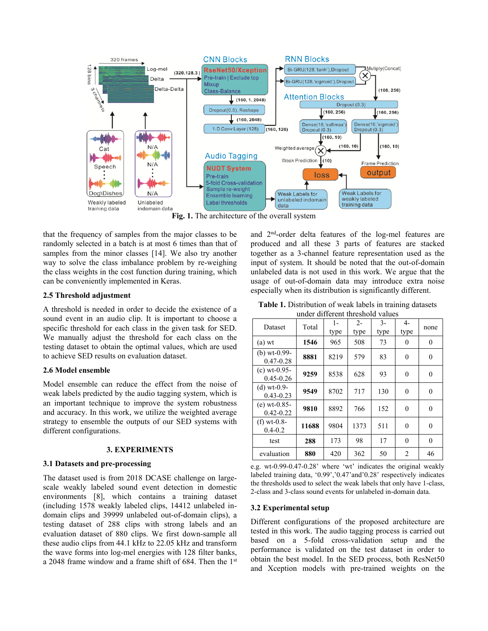

**Fig. 1.** The architecture of the overall system

that the frequency of samples from the major classes to be randomly selected in a batch is at most 6 times than that of samples from the minor classes [\[14\]](#page-4-13). We also try another way to solve the class imbalance problem by re-weighing the class weights in the cost function during training, which can be conveniently implemented in Keras.

### **2.5 Threshold adjustment**

A threshold is needed in order to decide the existence of a sound event in an audio clip. It is important to choose a specific threshold for each class in the given task for SED. We manually adjust the threshold for each class on the testing dataset to obtain the optimal values, which are used to achieve SED results on evaluation dataset.

#### **2.6 Model ensemble**

Model ensemble can reduce the effect from the noise of weak labels predicted by the audio tagging system, which is an important technique to improve the system robustness and accuracy. In this work, we utilize the weighted average strategy to ensemble the outputs of our SED systems with different configurations.

#### **3. EXPERIMENTS**

#### **3.1 Datasets and pre-processing**

The dataset used is from 2018 DCASE challenge on largescale weakly labeled sound event detection in domestic environments [\[8\]](#page-4-7), which contains a training dataset (including 1578 weakly labeled clips, 14412 unlabeled indomain clips and 39999 unlabeled out-of-domain clips), a testing dataset of 288 clips with strong labels and an evaluation dataset of 880 clips. We first down-sample all these audio clips from 44.1 kHz to 22.05 kHz and transform the wave forms into log-mel energies with 128 filter banks, a 2048 frame window and a frame shift of 684. Then the 1<sup>st</sup>

and 2nd -order delta features of the log-mel features are produced and all these 3 parts of features are stacked together as a 3-channel feature representation used as the input of system. It should be noted that the out-of-domain unlabeled data is not used in this work. We argue that the usage of out-of-domain data may introduce extra noise especially when its distribution is significantly different.

| Table 1. Distribution of weak labels in training datasets |  |  |  |  |  |  |  |
|-----------------------------------------------------------|--|--|--|--|--|--|--|
| under different threshold values                          |  |  |  |  |  |  |  |

| Dataset                         | Total | $1-$<br>type | $2 -$<br>type | $3 -$<br>type | 4-<br>type     | none |
|---------------------------------|-------|--------------|---------------|---------------|----------------|------|
| $(a)$ wt                        | 1546  | 965          | 508           | 73            | 0              | 0    |
| (b) $wt-0.99-$<br>$0.47 - 0.28$ | 8881  | 8219         | 579           | 83            | 0              | 0    |
| $(c)$ wt-0.95-<br>$0.45 - 0.26$ | 9259  | 8538         | 628           | 93            | $\theta$       | 0    |
| $(d)$ wt-0.9-<br>$0.43 - 0.23$  | 9549  | 8702         | 717           | 130           | 0              | 0    |
| $(e)$ wt-0.85-<br>$0.42 - 0.22$ | 9810  | 8892         | 766           | 152           | $\theta$       | 0    |
| (f) $wt-0.8$ -<br>$0.4 - 0.2$   | 11688 | 9804         | 1373          | 511           | 0              | 0    |
| test                            | 288   | 173          | 98            | 17            | $\Omega$       | 0    |
| evaluation                      | 880   | 420          | 362           | 50            | $\overline{c}$ | 46   |

e.g. wt-0.99-0.47-0.28' where 'wt' indicates the original weakly labeled training data, '0.99','0.47'and'0.28' respectively indicates the thresholds used to select the weak labels that only have 1-class, 2-class and 3-class sound events for unlabeled in-domain data.

#### **3.2 Experimental setup**

Different configurations of the proposed architecture are tested in this work. The audio tagging process is carried out based on a 5-fold cross-validation setup and the performance is validated on the test dataset in order to obtain the best model. In the SED process, both ResNet50 and Xception models with pre-trained weights on the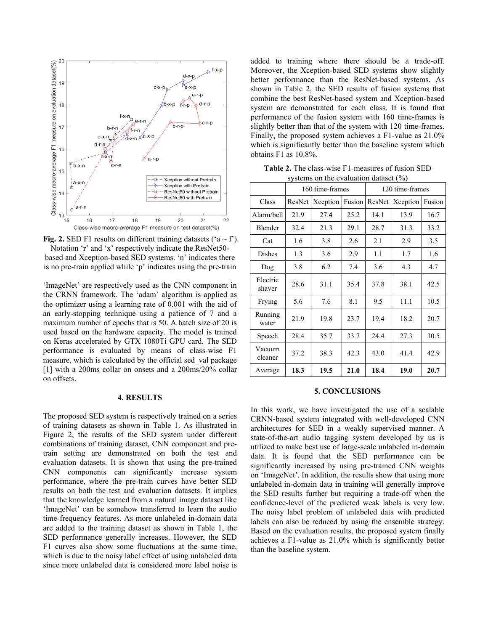

**Fig. 2.** SED F1 results on different training datasets  $(4 \sim f^2)$ . Notation 'r' and 'x' respectively indicate the ResNet50 based and Xception-based SED systems. 'n' indicates there is no pre-train applied while 'p' indicates using the pre-train

'ImageNet' are respectively used as the CNN component in the CRNN framework. The 'adam' algorithm is applied as the optimizer using a learning rate of 0.001 with the aid of an early-stopping technique using a patience of 7 and a maximum number of epochs that is 50. A batch size of 20 is used based on the hardware capacity. The model is trained on Keras accelerated by GTX 1080Ti GPU card. The SED performance is evaluated by means of class-wise F1 measure, which is calculated by the official sed\_val package [\[1\]](#page-4-0) with a 200ms collar on onsets and a 200ms/20% collar on offsets.

### **4. RESULTS**

The proposed SED system is respectively trained on a series of training datasets as shown in Table 1. As illustrated in Figure 2, the results of the SED system under different combinations of training dataset, CNN component and pretrain setting are demonstrated on both the test and evaluation datasets. It is shown that using the pre-trained CNN components can significantly increase system performance, where the pre-train curves have better SED results on both the test and evaluation datasets. It implies that the knowledge learned from a natural image dataset like 'ImageNet' can be somehow transferred to learn the audio time-frequency features. As more unlabeled in-domain data are added to the training dataset as shown in Table 1, the SED performance generally increases. However, the SED F1 curves also show some fluctuations at the same time, which is due to the noisy label effect of using unlabeled data since more unlabeled data is considered more label noise is

added to training where there should be a trade-off. Moreover, the Xception-based SED systems show slightly better performance than the ResNet-based systems. As shown in Table 2, the SED results of fusion systems that combine the best ResNet-based system and Xception-based system are demonstrated for each class. It is found that performance of the fusion system with 160 time-frames is slightly better than that of the system with 120 time-frames. Finally, the proposed system achieves a F1-value as 21.0% which is significantly better than the baseline system which obtains F1 as 10.8%.

**Table 2.** The class-wise F1-measures of fusion SED systems on the evaluation dataset (%)

|                    | 160 time-frames |          |        | 120 time-frames |          |        |
|--------------------|-----------------|----------|--------|-----------------|----------|--------|
| Class              | ResNet          | Xception | Fusion | ResNet          | Xception | Fusion |
| Alarm/bell         | 21.9            | 27.4     | 25.2   | 14.1            | 13.9     | 16.7   |
| Blender            | 32.4            | 21.3     | 29.1   | 28.7            | 31.3     | 33.2   |
| Cat                | 1.6             | 3.8      | 2.6    | 2.1             | 2.9      | 3.5    |
| Dishes             | 1.3             | 3.6      | 2.9    | 1.1             | 1.7      | 1.6    |
| Dog                | 3.8             | 6.2      | 7.4    | 3.6             | 4.3      | 4.7    |
| Electric<br>shaver | 28.6            | 31.1     | 35.4   | 37.8            | 38.1     | 42.5   |
| Frying             | 5.6             | 7.6      | 8.1    | 9.5             | 11.1     | 10.5   |
| Running<br>water   | 21.9            | 19.8     | 23.7   | 19.4            | 18.2     | 20.7   |
| Speech             | 28.4            | 35.7     | 33.7   | 24.4            | 27.3     | 30.5   |
| Vacuum<br>cleaner  | 37.2            | 38.3     | 42.3   | 43.0            | 41.4     | 42.9   |
| Average            | 18.3            | 19.5     | 21.0   | 18.4            | 19.0     | 20.7   |

#### **5. CONCLUSIONS**

In this work, we have investigated the use of a scalable CRNN-based system integrated with well-developed CNN architectures for SED in a weakly supervised manner. A state-of-the-art audio tagging system developed by us is utilized to make best use of large-scale unlabeled in-domain data. It is found that the SED performance can be significantly increased by using pre-trained CNN weights on 'ImageNet'. In addition, the results show that using more unlabeled in-domain data in training will generally improve the SED results further but requiring a trade-off when the confidence-level of the predicted weak labels is very low. The noisy label problem of unlabeled data with predicted labels can also be reduced by using the ensemble strategy. Based on the evaluation results, the proposed system finally achieves a F1-value as 21.0% which is significantly better than the baseline system.